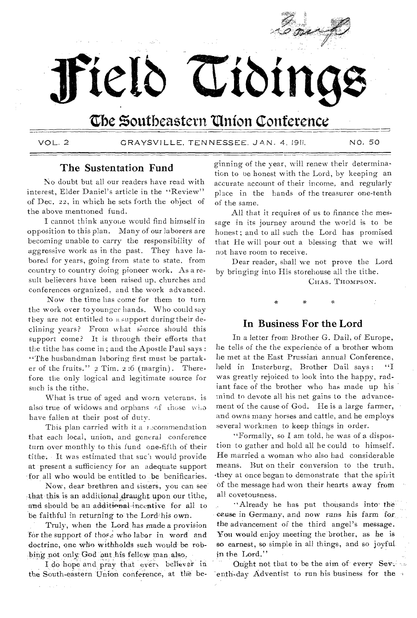

The Southeastern Union Conference

Cioin

VOL. 2

GRAYSVILLE, TENNESSEE, JAN. 4, 1911.

NO. 50

## The Sustentation Fund

rield

No doubt but all our readers have read with interest, Elder Daniel's article in the "Review" of Dec. 22, in which he sets forth the object of the above mentioned fund.

I cannot think anyone would find himself in opposition to this plan. Many of our laborers are becoming unable to carry the responsibility of aggressive work as in the past. They have labored for years, going from state to state, from country to country doing pioneer work. As a result believers have been raised up, churches and conferences organized, and the work advanced.

Now the time has come for them to turn the work over to younger hands. Who could say they are not entitled to a support during their declining years? From what source should this support come? It is through their efforts that the tithe has come in; and the Apostle Paul says : "The husbandman laboring first must be partaker of the fruits." 2 Tim. 2:6 (margin). Therefore the only logical and legitimate source for such is the tithe.

What is true of aged and worn veterans, is also true of widows and orphans of those who have fallen at their post of duty.

This plan carried with it a 15commendation that each local, union, and general conference turn over monthly to this fund one-fifth of their tithe. It was estimated that such would provide at present a sufficiency for an adequate support for all who would be entitled to be benificaries.

Now, dear brethren and sisters, you can see that this is an additional draught upon our tithe, and should be an additional incentive for all to be faithful in returning to the Lord/his own.

Truly, when the Lord has made a provision for the support of those who labor in word and doctrine, one who withholds such would be robbing not only God out his fellow man also.

I do hope and pray that every believer in the South-eastern Union conference, at the beginning of the year, will renew their determination to be honest with the Lord, by keeping an accurate account of their income, and regularly place in the hands of the treasurer one-tenth of the same.

All that it requires of us to finance the message in its journey around the world is to be honest; and to all such the Lord has promised that He will pour out a blessing that we will not have room to receive.

Dear reader, shall we not prove the Lord by bringing into His storehouse all the tithe.

CHAS. THOMPSON.

# In Business For the Lord

In a letter from Brother G. Dail, of Europe, he tells of the the experience of a brother whom he met at the East Prussian annual Conference, held in Insterburg, Brother Dail says:  $``I$ was greatly rejoiced to look into the happy, radiant face of the brother who has made up his mind to devote all his net gains to the advancement of the cause of God. He is a large farmer, and owns many horses and cattle, and he employs several workmen to keep things in order.

"Formally, so I am told, he was of a dispostion to gather and hold all he could to himself. He married a woman who also had considerable means. But on their conversion to the truth, they at once began to demonstrate that the spirit of the message had won their hearts away from all covetousness.

"Already he has put thousands into the ceuse in Germany, and now runs his farm for the advancement of the third angel's message. You would enjoy meeting the brother, as he is so earnest, so simple in all things, and so joyful. in the Lord."

Ought not that to be the aim of every Sevens enth-day Adventist to run his business for the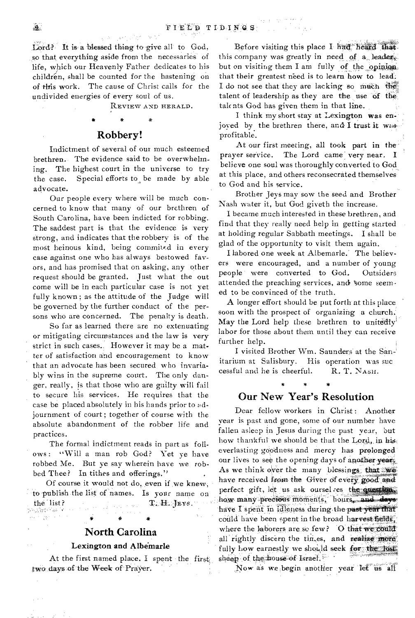Lord? It is a blessed thing to give all to God, so that everything aside from the necessaries of life, which our Heavenly Father dedicates to his  $children$ , shall be counted for the hastening on of this work. The cause of Christ calls for the undivided energies of every soul of us.

REVIEW AND HERALD.

#### Robbery!

Indictment of several of our much esteemed brethren. The evidence said to be overwhelming. The highest court in the universe to try the case. Special efforts to, be made by able advocate.

Our people every where will be much concerned to know that many of our brethren of South Carolina, have been indicted for robbing. The saddest part is that the evidence is very strong, and indicates that the robbery is of the most heinous kind, being commited in every case against one who has always bestowed favors, and has promised that on asking, any other request should be granted. Just what the out come will be in each particular case is not yet fully known ; as the attitude of the Judge will be governed by the further conduct of the persons who are concerned. The penalty is death.

So far as learned there are no extenuating or mitigating circumstances and the law is very strict in such cases.. However it may be a matter of satisfaction and encouragement to know that an advocate has been secured who invariably wins in the supreme court. The only danger, really, is that those who are guilty will fail to secure his services. He requires that the case be placed absolutely in his hands prior to adjournment of court ; together of course with the absolute abandonment of the robber life and practices.

The formal indictment reads in part as follows: "Will a man rob God? Yet ye have robbed Me. But ye say wherein have we robbed Thee? In tithes and offerings."

Of course it would not do, even if ,we knew, to publish the list of names. Is your name on , the list?  $\mathbb{R}_{\mathbb{Z}}$  of  $\mathbb{R}_{\mathbb{Z}}$  of  $\mathbb{R}_{\mathbb{Z}}$  of  $\mathbb{R}_{\mathbb{Z}}$  .

Allen gener

\*

# North Carolina

#### Lexington and Albemarle

At the first named place. I spent the first two days of the Week of Prayer.

Before visiting this place I had heard that this company was greatly in need of a leader but on visiting them I am fully of the opinion. that their greatest need is to learn how to lead. I do not see that they are lacking so much the talent of leadership as they are the use of the talc nts God has given them in that line.

I think my short stay at Lexington was en joved by the brethren there, and I trust it wasprofitable.

At our first meeting, all took part in the' prayer service. The Lord came very near. believe one soul was thoroughly converted to God, at this place, and others reconsecrated themselves to God and his service.

Brother Jeys may sow the seed and Brother Nash water it, but God giveth the increase.

I became much interested in these brethren, and find that they really need help in getting started at holding regular Sabbath meetings. I shall be glad of the opportunity to visit them again.

I labored one week at Albemarle.' The believers were encouraged, and a number of young people were converted to God. Outsiders attended the preaching services, and §ome seemed to be convinced of the truth.

A longer effort should be put forth at this place soon with the prospect of organizing a church. May the Lord help these brethren to unitedly<sup>1</sup> labor for those about them until they can receive further help.

I visited Brother Wm. Saunders at the San-' itarium at Salisbury. His operation was sue cessful and he is cheerful.  $R$ . T. NASH.

# Our New Year's Resolution

\*

Dear fellow workers in Christ: Another year is past and gone, some of our number have fallen asleep in Jesus during the past year, 'out how thankful we should be that the Lord, in his. everlasting goodness and mercy has prolonged our lives to see the opening days of another years. As we think over the many blessings that we have received from the Giver of every good and perfect gift, let us ask ourselves the questions. how many precious moments, hours, and days have I spent in idleness during the past year that could have been spent in the broad harvest fields. where the laborers are so few? O that we could all rightly discern the times, and realize more fully how earnestly we should seek for the fost sheep of the house of Israel.

Now as we begin another year let us all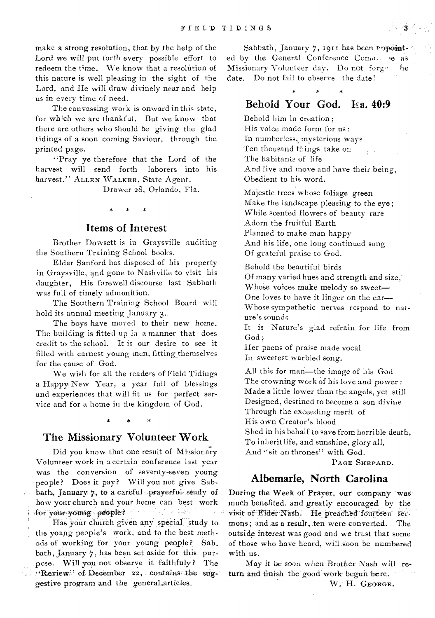make a strong resolution, that by the help of the Lord we will put forth every possible effort to redeem the time. We know that a resolution of this nature is well pleasing in the sight of the Lord, and He will draw divinely near and help us in every time of need.

The canvassing work is onward in this state, for which we are thankful. But we know that there are others who should be giving the glad tidings of a soon coming Saviour, through the printed page.

"Pray ye therefore that the Lord of the harvest will send forth laborers into his harvest." ALLEN WALKER, State Agent.

Drawer 28, Orlando, Fla.

### Items of Interest

Brother Dowsett is in Graysville auditing the Southern Training School books,

Elder Sanford has disposed of his property in Graysville, and gone to Nashville to visit his daughter, His farewell discourse last Sabbath was full of timely admonition.

The Southern Training School Board will hold its annual meeting January 3..

The boys have moved to their new home. The building is fitted up is a manner that does credit to the school. It is our desire to see it filled with earnest young men, fitting themselves for the cause of God.

We wish for all the readers of Field Tidings a Happy New Year, a year full of blessings and experiences that will fit us for perfect service and for a home in the kingdom of God.

#### \* \*

## The Missionary Volunteer Work

Did you know that one result of Missionary Volunteer work in a certain conference last year was the conversion of seventy-seven young people? Does it pay? Will you not give Sabbath, January  $\gamma$ , to a careful prayerful study of how your church and your home can best work for your young people? wour young people?<br>Has your church given any special study to

the young people's work, and to the best methods of working for your young people? Sabbath, January 7, has been set aside for this pur- 'pose. Will you not observe it faithfuly? The : Review" of December 22, contains the suggestive program and the generaLarticles.

Sabbath, January 7, 1911 has been ropointed by the General Conference Coman se as Missionary Volunteer day. Do not forge he date. Do not fail to observe the date!

# Behold Your God. Isa. 40:9

Behold him in creation ; His voice made form for us : In numberless, mysterious ways Ten thousand things take on The habitants of life And live and move and have their being, Obedient to his word.

Majestic trees whose foliage green Make the landscape pleasing to the eye ; While scented flowers of beauty rare Adorn the fruitful Earth Planned to make man happy And his life, one long continued song Of grateful praise to God.

Behold the beautiful birds Of many varied hues and strength and size,• Whose voices make melody so sweet-One loves to have it linger on the ear— Whose sympathetic nerves respond to nature's sounds

It is Nature's glad refrain for life from God;

Her paens of praise made vocal In sweetest warbled song.

All this for man—the image of his God The crowning work of his love and power : Made a little lower than the angels, yet still Designed, destined to become a son divine Through the exceeding merit of His own Creator's blood

Shed in his behalf to save from horrible death, To inherit life, and sunshine, *glory* all, And "sit on thrones" with God.

PAGE SHEPARD.

# Albemarle, North Carolina

During the Week of Prayer, our company was much benefited. and greatly encouraged by the visit of Elder Nash. He preached fourteen sermons; and as a result, ten were converted. The outside interest was good and we trust that some of those who have heard, will soon be numbered with us.

May it be soon when Brother Nash will return and finish the good work begun here.

W. H. GEORGE.